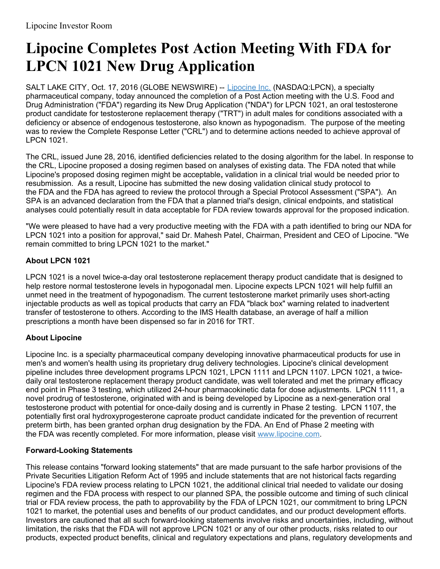## **Lipocine Completes Post Action Meeting With FDA for LPCN 1021 New Drug Application**

SALT LAKE CITY, Oct. 17, 2016 (GLOBE NEWSWIRE) -- [Lipocine](https://www.globenewswire.com/Tracker?data=I5Jw61EJOZNWYIe9JEbipbvfSfFiHFQOT7Xj5Ql_Z_y5PAry6pkXIeUYB-9aeYWLr11Q16e-9gZv2pAE07_6ig==) Inc. (NASDAQ:LPCN), a specialty pharmaceutical company, today announced the completion of a Post Action meeting with the U.S. Food and Drug Administration ("FDA") regarding its New Drug Application ("NDA") for LPCN 1021, an oral testosterone product candidate for testosterone replacement therapy ("TRT") in adult males for conditions associated with a deficiency or absence of endogenous testosterone, also known as hypogonadism. The purpose of the meeting was to review the Complete Response Letter ("CRL") and to determine actions needed to achieve approval of LPCN 1021.

The CRL, issued June 28, 2016, identified deficiencies related to the dosing algorithm for the label. In response to the CRL, Lipocine proposed a dosing regimen based on analyses of existing data. The FDA noted that while Lipocine's proposed dosing regimen might be acceptable**,** validation in a clinical trial would be needed prior to resubmission. As a result, Lipocine has submitted the new dosing validation clinical study protocol to the FDA and the FDA has agreed to review the protocol through a Special Protocol Assessment ("SPA"). An SPA is an advanced declaration from the FDA that a planned trial's design, clinical endpoints, and statistical analyses could potentially result in data acceptable for FDA review towards approval for the proposed indication.

"We were pleased to have had a very productive meeting with the FDA with a path identified to bring our NDA for LPCN 1021 into a position for approval," said Dr. Mahesh Patel, Chairman, President and CEO of Lipocine. "We remain committed to bring LPCN 1021 to the market."

## **About LPCN 1021**

LPCN 1021 is a novel twice-a-day oral testosterone replacement therapy product candidate that is designed to help restore normal testosterone levels in hypogonadal men. Lipocine expects LPCN 1021 will help fulfill an unmet need in the treatment of hypogonadism. The current testosterone market primarily uses short-acting injectable products as well as topical products that carry an FDA "black box" warning related to inadvertent transfer of testosterone to others. According to the IMS Health database, an average of half a million prescriptions a month have been dispensed so far in 2016 for TRT.

## **About Lipocine**

Lipocine Inc. is a specialty pharmaceutical company developing innovative pharmaceutical products for use in men's and women's health using its proprietary drug delivery technologies. Lipocine's clinical development pipeline includes three development programs LPCN 1021, LPCN 1111 and LPCN 1107. LPCN 1021, a twicedaily oral testosterone replacement therapy product candidate, was well tolerated and met the primary efficacy end point in Phase 3 testing, which utilized 24-hour pharmacokinetic data for dose adjustments. LPCN 1111, a novel prodrug of testosterone, originated with and is being developed by Lipocine as a next-generation oral testosterone product with potential for once-daily dosing and is currently in Phase 2 testing. LPCN 1107, the potentially first oral hydroxyprogesterone caproate product candidate indicated for the prevention of recurrent preterm birth, has been granted orphan drug designation by the FDA. An End of Phase 2 meeting with the FDA was recently completed. For more information, please visit [www.lipocine.com](https://www.globenewswire.com/Tracker?data=b5OBlOkL66w6gar5rz-JOzQxEl5kDFdzao9HGoWRsJBqIBikSKVKL062GtTM3Xln9xRcqTi99ppBL-2eZ0EETA==).

## **Forward-Looking Statements**

This release contains "forward looking statements" that are made pursuant to the safe harbor provisions of the Private Securities Litigation Reform Act of 1995 and include statements that are not historical facts regarding Lipocine's FDA review process relating to LPCN 1021, the additional clinical trial needed to validate our dosing regimen and the FDA process with respect to our planned SPA, the possible outcome and timing of such clinical trial or FDA review process, the path to approvability by the FDA of LPCN 1021, our commitment to bring LPCN 1021 to market, the potential uses and benefits of our product candidates, and our product development efforts. Investors are cautioned that all such forward-looking statements involve risks and uncertainties, including, without limitation, the risks that the FDA will not approve LPCN 1021 or any of our other products, risks related to our products, expected product benefits, clinical and regulatory expectations and plans, regulatory developments and